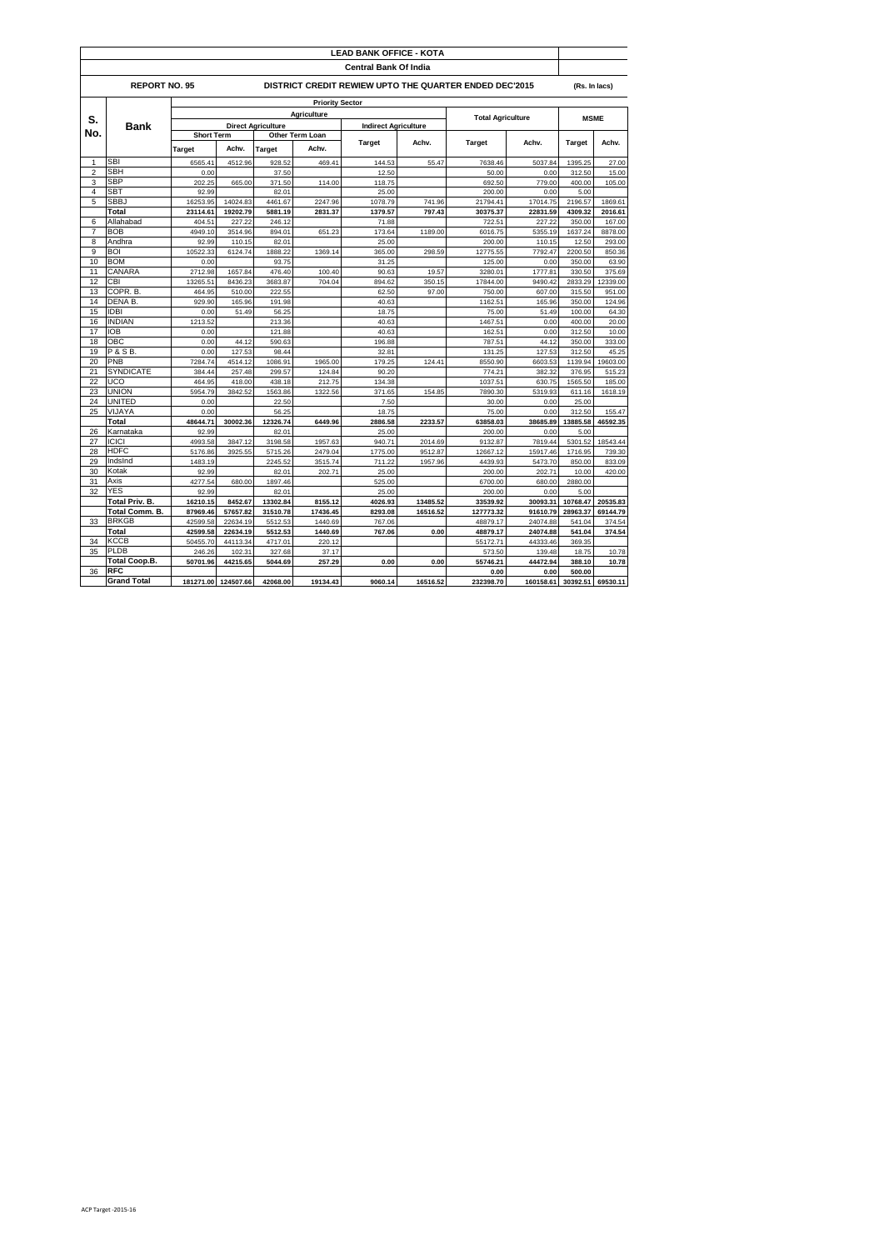| <b>LEAD BANK OFFICE - KOTA</b>                                                        |                                       |                                         |                        |                           |                    |                             |          |                     |                     |               |          |  |  |  |  |  |
|---------------------------------------------------------------------------------------|---------------------------------------|-----------------------------------------|------------------------|---------------------------|--------------------|-----------------------------|----------|---------------------|---------------------|---------------|----------|--|--|--|--|--|
| <b>Central Bank Of India</b>                                                          |                                       |                                         |                        |                           |                    |                             |          |                     |                     |               |          |  |  |  |  |  |
| <b>REPORT NO. 95</b><br><b>DISTRICT CREDIT REWIEW UPTO THE QUARTER ENDED DEC'2015</b> |                                       |                                         |                        |                           |                    |                             |          |                     |                     |               |          |  |  |  |  |  |
|                                                                                       |                                       |                                         | <b>Priority Sector</b> |                           |                    |                             |          |                     |                     |               |          |  |  |  |  |  |
|                                                                                       | Bank                                  | Agriculture<br><b>Total Agriculture</b> |                        |                           |                    |                             |          |                     |                     |               |          |  |  |  |  |  |
| S.<br>No.                                                                             |                                       |                                         |                        | <b>Direct Agriculture</b> |                    | <b>Indirect Agriculture</b> |          |                     | <b>MSME</b>         |               |          |  |  |  |  |  |
|                                                                                       |                                       | <b>Short Term</b>                       |                        | Other Term Loan           |                    |                             |          |                     |                     |               |          |  |  |  |  |  |
|                                                                                       |                                       | Target                                  | Achv.                  | Target                    | Achv.              | <b>Target</b>               | Achv.    | Target              | Achv.               | <b>Target</b> | Achv.    |  |  |  |  |  |
| 1                                                                                     | <b>SBI</b>                            | 6565.41                                 | 4512.96                | 928.52                    | 469.41             | 144.53                      | 55.47    | 7638.46             | 5037.84             | 1395.25       | 27.00    |  |  |  |  |  |
| $\overline{2}$                                                                        | <b>SBH</b>                            | 0.00                                    |                        | 37.50                     |                    | 12.50                       |          | 50.00               | 0.00                | 312.50        | 15.00    |  |  |  |  |  |
| 3                                                                                     | <b>SBP</b>                            | 202.25                                  | 665.00                 | 371.50                    | 114.00             | 118.75                      |          | 692.50              | 779.00              | 400.00        | 105.00   |  |  |  |  |  |
| 4                                                                                     | <b>SBT</b>                            | 92.99                                   |                        | 82.01                     |                    | 25.00                       |          | 200.00              | 0.00                | 5.00          |          |  |  |  |  |  |
| 5                                                                                     | <b>SBBJ</b>                           | 16253.95                                | 14024.83               | 4461.67                   | 2247.96            | 1078.79                     | 741.96   | 21794.41            | 17014.75            | 2196.57       | 1869.61  |  |  |  |  |  |
|                                                                                       | Total                                 | 23114.61                                | 19202.79               | 5881.19                   | 2831.37            | 1379.57                     | 797.43   | 30375.37            | 22831.59            | 4309.32       | 2016.61  |  |  |  |  |  |
| 6                                                                                     | Allahabad                             | 404.51                                  | 227.22                 | 246.12                    |                    | 71.88                       |          | 722.51              | 227.22              | 350.00        | 167.00   |  |  |  |  |  |
| $\overline{7}$                                                                        | <b>BOB</b>                            | 4949.10                                 | 3514.96                | 894.01                    | 651.23             | 173.64                      | 1189.00  | 6016.75             | 5355.19             | 1637.24       | 8878.00  |  |  |  |  |  |
| 8                                                                                     | Andhra                                | 92.99                                   | 110.15                 | 82.01                     |                    | 25.00                       |          | 200.00              | 110.15              | 12.50         | 293.00   |  |  |  |  |  |
| 9                                                                                     | <b>BOI</b>                            | 10522.33                                | 6124.74                | 1888.22                   | 1369.14            | 365.00                      | 298.59   | 12775.55            | 7792.47             | 2200.50       | 850.36   |  |  |  |  |  |
| 10                                                                                    | <b>BOM</b>                            | 0.00                                    |                        | 93.75                     |                    | 31.25                       |          | 125.00              | 0.00                | 350.00        | 63.90    |  |  |  |  |  |
| 11                                                                                    | CANARA                                | 2712.98                                 | 1657.84                | 476.40                    | 100.40             | 90.63                       | 19.57    | 3280.01             | 1777.81             | 330.50        | 375.69   |  |  |  |  |  |
| 12                                                                                    | CBI                                   | 13265.51                                | 8436.23                | 3683.87                   | 704.04             | 894.62                      | 350.15   | 17844.00            | 9490.42             | 2833.29       | 12339.00 |  |  |  |  |  |
| 13                                                                                    | COPR. B                               | 464.95                                  | 510.00                 | 222.55                    |                    | 62.50                       | 97.00    | 750.00              | 607.00              | 315.50        | 951.00   |  |  |  |  |  |
| 14                                                                                    | <b>DENAB</b>                          | 929.90                                  | 165.96                 | 191.98                    |                    | 40.63                       |          | 1162.51             | 165.96              | 350.00        | 124.96   |  |  |  |  |  |
| 15                                                                                    | <b>IDBI</b>                           | 0.00                                    | 51.49                  | 56.25                     |                    | 18.75                       |          | 75.00               | 51.49               | 100.00        | 64.30    |  |  |  |  |  |
| 16                                                                                    | <b>INDIAN</b>                         | 1213.52                                 |                        | 213.36                    |                    | 40.63                       |          | 1467.51             | 0.00                | 400.00        | 20.00    |  |  |  |  |  |
| 17                                                                                    | <b>IOB</b>                            | 0.00                                    |                        | 121.88                    |                    | 40.63                       |          | 162.51              | 0.00                | 312.50        | 10.00    |  |  |  |  |  |
| 18                                                                                    | OBC                                   | 0.00                                    | 44.12                  | 590.63                    |                    | 196.88                      |          | 787.51              | 44.12               | 350.00        | 333.00   |  |  |  |  |  |
| 19                                                                                    | <b>P&amp;SB.</b>                      | 0.00                                    | 127.53                 | 98.44                     |                    | 32.81                       |          | 131.25              | 127.53              | 312.50        | 45.25    |  |  |  |  |  |
| 20                                                                                    | PNB                                   | 7284.74                                 | 4514.12                | 1086.91                   | 1965.00            | 179.25                      | 124.41   | 8550.90             | 6603.53             | 1139.94       | 19603.00 |  |  |  |  |  |
| 21                                                                                    | <b>SYNDICATE</b>                      | 384.44                                  | 257.48                 | 299.57                    | 124.84             | 90.20                       |          | 774.21              | 382.32              | 376.95        | 515.23   |  |  |  |  |  |
| 22                                                                                    | <b>UCO</b>                            | 464.95                                  | 418.00                 | 438.18                    | 212.75             | 134.38                      |          | 1037.51             | 630.75              | 1565.50       | 185.00   |  |  |  |  |  |
| 23                                                                                    | <b>UNION</b>                          | 5954.79                                 | 3842.52                | 1563.86                   | 1322.56            | 371.65                      | 154.85   | 7890.30             | 5319.93             | 611.16        | 1618.19  |  |  |  |  |  |
| 24                                                                                    | <b>UNITED</b>                         | 0.00                                    |                        | 22.50                     |                    | 7.50                        |          | 30.00               | 0.00                | 25.00         |          |  |  |  |  |  |
| 25                                                                                    | VIJAYA                                | 0.00                                    |                        | 56.25                     |                    | 18.75                       |          | 75.00               | 0.00                | 312.50        | 155.47   |  |  |  |  |  |
|                                                                                       | Total                                 | 48644.71                                | 30002.36               | 12326.74                  | 6449.96            | 2886.58                     | 2233.57  | 63858.03            | 38685.89            | 13885.58      | 46592.35 |  |  |  |  |  |
| 26                                                                                    | Karnataka                             | 92.99                                   |                        | 82.01                     |                    | 25.00                       |          | 200.00              | 0.00                | 5.00          |          |  |  |  |  |  |
| 27                                                                                    | <b>ICICI</b>                          | 4993.58                                 | 3847.12                | 3198.58                   | 1957.63            | 940.71                      | 2014.69  | 9132.87             | 7819.44             | 5301.52       | 18543.44 |  |  |  |  |  |
| 28                                                                                    | <b>HDFC</b>                           |                                         |                        |                           |                    |                             |          |                     |                     | 1716.95       |          |  |  |  |  |  |
| 29                                                                                    | IndsInd                               | 5176.86<br>1483.19                      | 3925.55                | 5715.26<br>2245.52        | 2479.04<br>3515.74 | 1775.00<br>711.22           | 9512.87  | 12667.12<br>4439.93 | 15917.46<br>5473.70 | 850.00        | 739.30   |  |  |  |  |  |
| 30                                                                                    | Kotak                                 |                                         |                        |                           |                    |                             | 1957.96  |                     |                     |               | 833.09   |  |  |  |  |  |
|                                                                                       | Axis                                  | 92.99                                   |                        | 82.01                     | 202.71             | 25.00                       |          | 200.00              | 202.71              | 10.00         | 420.00   |  |  |  |  |  |
| 31<br>32                                                                              | <b>YES</b>                            | 4277.54                                 | 680.00                 | 1897.46                   |                    | 525.00                      |          | 6700.00             | 680.00              | 2880.00       |          |  |  |  |  |  |
|                                                                                       |                                       | 92.99                                   |                        | 82.01                     |                    | 25.00                       |          | 200.00              | 0.00                | 5.00          |          |  |  |  |  |  |
|                                                                                       | <b>Total Priv. B.</b>                 | 16210.15                                | 8452.67                | 13302.84                  | 8155.12            | 4026.93                     | 13485.52 | 33539.92            | 30093.31            | 10768.47      | 20535.83 |  |  |  |  |  |
|                                                                                       | <b>Total Comm. B.</b><br><b>BRKGB</b> | 87969.46                                | 57657.82               | 31510.78                  | 17436.45           | 8293.08                     | 16516.52 | 127773.32           | 91610.79            | 28963.37      | 69144.79 |  |  |  |  |  |
| 33                                                                                    |                                       | 42599.58                                | 22634.19               | 5512.53                   | 1440.69            | 767.06                      |          | 48879.17            | 24074.88            | 541.04        | 374.54   |  |  |  |  |  |
|                                                                                       | Total                                 | 42599.58                                | 22634.19               | 5512.53                   | 1440.69            | 767.06                      | 0.00     | 48879.17            | 24074.88            | 541.04        | 374.54   |  |  |  |  |  |
| 34                                                                                    | <b>KCCB</b>                           | 50455.70                                | 44113.34               | 4717.01                   | 220.12             |                             |          | 55172.71            | 44333.46            | 369.35        |          |  |  |  |  |  |
| 35                                                                                    | <b>PLDB</b>                           | 246.26                                  | 102.31                 | 327.68                    | 37.17              |                             |          | 573.50              | 139.48              | 18.75         | 10.78    |  |  |  |  |  |
|                                                                                       | <b>Total Coop.B.</b>                  | 50701.96                                | 44215.65               | 5044.69                   | 257.29             | 0.00                        | 0.00     | 55746.21            | 44472.94            | 388.10        | 10.78    |  |  |  |  |  |
| 36                                                                                    | <b>RFC</b>                            |                                         |                        |                           |                    |                             |          | 0.00                | 0.00                | 500.00        |          |  |  |  |  |  |
|                                                                                       | <b>Grand Total</b>                    | 181271.00                               | 124507.66              | 42068.00                  | 19134.43           | 9060.14                     | 16516.52 | 232398.70           | 160158.61           | 30392.51      | 69530.11 |  |  |  |  |  |